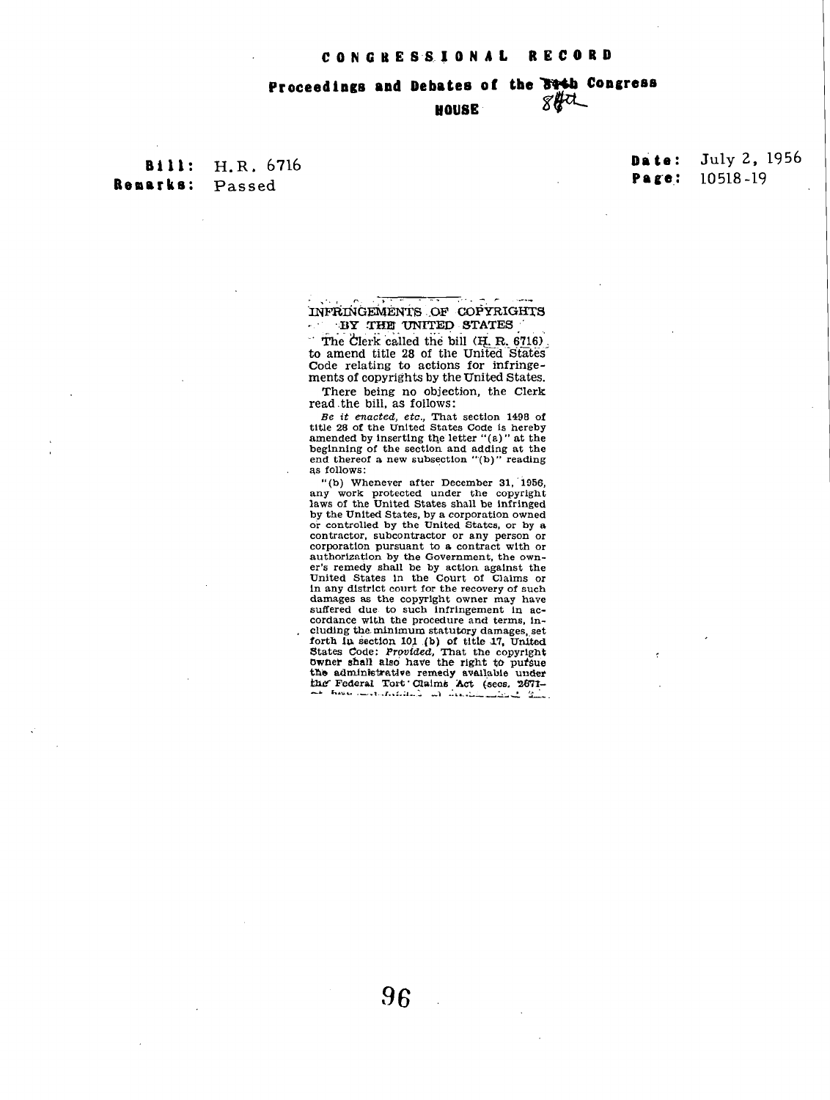## Proceedings and Debates of the 84th Congress  $84\sigma$ HOUSE

**Bill:** H.R. 6716 Remarks: Passed

## July 2, 1956 **Date:** 10518-19 Page:

## INFRINGEMENTS OF COPYRIGHTS BY THE UNITED STATES u sh

The Clerk called the bill (H. R. 6716). the start cancel at the United States<br>to amend title 28 of the United States<br>Code relating to actions for infringements of copyrights by the United States.

There being no objection, the Clerk read the bill, as follows:

read the bin, as follows.<br>
Be it enacted, etc., That section 1498 of<br>
title 28 of the United States Code is hereby<br>
amended by inserting the letter "(a)" at the<br>
beginning of the section and adding at the end thereof a new subsection "(b)" reading as follows:

"(b) Whenever after December 31, 1956, or whenever all the comprise the copyright<br>haws of the United States shall be infringed hy the United States, by a corporation owned<br>or controlled by the United States, or by a contractor, subcontractor or any person or corporation pursuant to a contract with or corporation pursuant to a contract with or<br>authorization by the Government, the own-<br>er's remedy shall be by action against the<br>United States in the Court of Claims or<br>In any district court for the recovery of such<br>damages cordance with the procedure and terms, including the minimum statutory damages, set clump the minimum statutory damages, set<br>forth in section 101 (b) of title 17, United<br>States Code: Provided, That the copyright<br>by the shall also have the right to pursue<br>the administrative remedy available under<br>the Fede